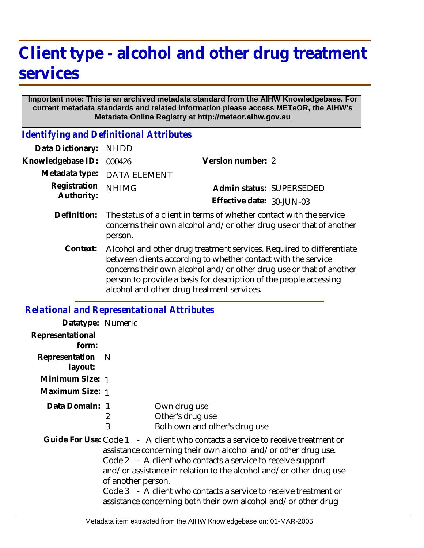## **Client type - alcohol and other drug treatment services**

## **Important note: This is an archived metadata standard from the AIHW Knowledgebase. For current metadata standards and related information please access METeOR, the AIHW's Metadata Online Registry at http://meteor.aihw.gov.au**

*Identifying and Definitional Attributes*

| Data Dictionary:                             | <b>NHDD</b>                                                                                                                                                                                                                                                                                                                     |                           |
|----------------------------------------------|---------------------------------------------------------------------------------------------------------------------------------------------------------------------------------------------------------------------------------------------------------------------------------------------------------------------------------|---------------------------|
| Knowledgebase ID:                            | 000426                                                                                                                                                                                                                                                                                                                          | Version number: 2         |
| Metadata type:<br>Registration<br>Authority: | <b>DATA ELEMENT</b>                                                                                                                                                                                                                                                                                                             |                           |
|                                              | <b>NHIMG</b>                                                                                                                                                                                                                                                                                                                    | Admin status: SUPERSEDED  |
|                                              |                                                                                                                                                                                                                                                                                                                                 | Effective date: 30-JUN-03 |
| Definition:                                  | The status of a client in terms of whether contact with the service<br>concerns their own alcohol and/or other drug use or that of another<br>person.                                                                                                                                                                           |                           |
| Context:                                     | Alcohol and other drug treatment services. Required to differentiate<br>between clients according to whether contact with the service<br>concerns their own alcohol and/or other drug use or that of another<br>person to provide a basis for description of the people accessing<br>alcohol and other drug treatment services. |                           |

## *Relational and Representational Attributes*

| Datatype: Numeric         |                                                                                                                                                                                                                                                                                                                                                                                                                                                    |
|---------------------------|----------------------------------------------------------------------------------------------------------------------------------------------------------------------------------------------------------------------------------------------------------------------------------------------------------------------------------------------------------------------------------------------------------------------------------------------------|
| Representational<br>form: |                                                                                                                                                                                                                                                                                                                                                                                                                                                    |
| Representation<br>layout: | - N                                                                                                                                                                                                                                                                                                                                                                                                                                                |
| Minimum Size: 1           |                                                                                                                                                                                                                                                                                                                                                                                                                                                    |
| Maximum Size: 1           |                                                                                                                                                                                                                                                                                                                                                                                                                                                    |
| Data Domain: 1            | Own drug use<br>Other's drug use<br>2<br>3<br>Both own and other's drug use                                                                                                                                                                                                                                                                                                                                                                        |
|                           | Guide For Use: Code 1 - A client who contacts a service to receive treatment or<br>assistance concerning their own alcohol and/or other drug use.<br>Code 2 - A client who contacts a service to receive support<br>and/or assistance in relation to the alcohol and/or other drug use<br>of another person.<br>Code 3 - A client who contacts a service to receive treatment or<br>assistance concerning both their own alcohol and/or other drug |